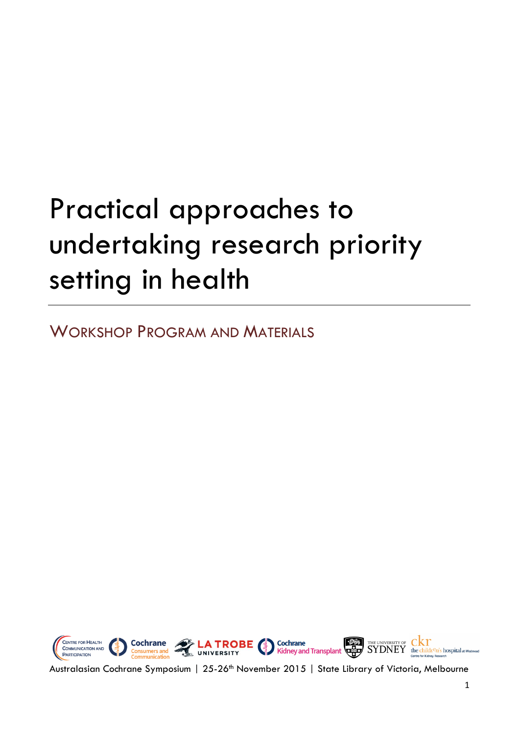# Practical approaches to undertaking research priority setting in health

WORKSHOP PROGRAM AND MATERIALS



Australasian Cochrane Symposium | 25-26<sup>th</sup> November 2015 | State Library of Victoria, Melbourne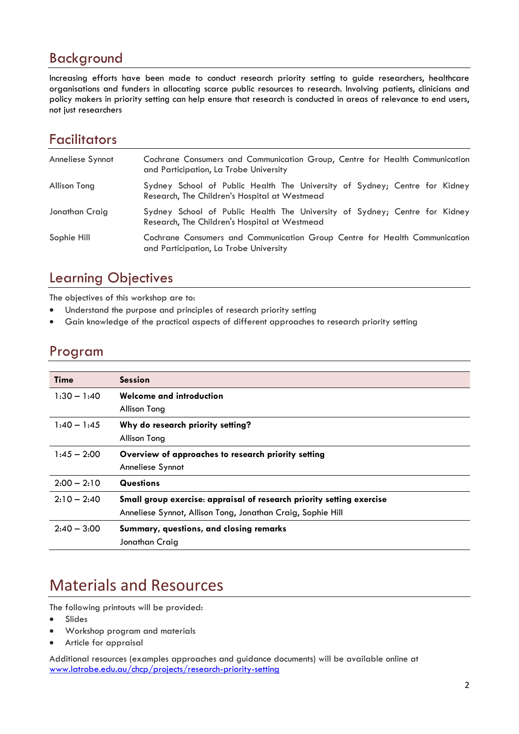#### Background

Increasing efforts have been made to conduct research priority setting to guide researchers, healthcare organisations and funders in allocating scarce public resources to research. Involving patients, clinicians and policy makers in priority setting can help ensure that research is conducted in areas of relevance to end users, not just researchers

### **Facilitators**

| Anneliese Synnot | Cochrane Consumers and Communication Group, Centre for Health Communication<br>and Participation, La Trobe University       |
|------------------|-----------------------------------------------------------------------------------------------------------------------------|
| Allison Tong     | Sydney School of Public Health The University of Sydney; Centre for Kidney<br>Research, The Children's Hospital at Westmead |
| Jonathan Craig   | Sydney School of Public Health The University of Sydney; Centre for Kidney<br>Research, The Children's Hospital at Westmead |
| Sophie Hill      | Cochrane Consumers and Communication Group Centre for Health Communication<br>and Participation, La Trobe University        |

#### Learning Objectives

The objectives of this workshop are to:

- Understand the purpose and principles of research priority setting
- Gain knowledge of the practical aspects of different approaches to research priority setting

#### Program

| <b>Time</b>   | <b>Session</b>                                                        |
|---------------|-----------------------------------------------------------------------|
| $1:30 - 1:40$ | Welcome and introduction                                              |
|               | Allison Tong                                                          |
| $1:40 - 1:45$ | Why do research priority setting?                                     |
|               | Allison Tong                                                          |
| $1:45 - 2:00$ | Overview of approaches to research priority setting                   |
|               | Anneliese Synnot                                                      |
| $2:00 - 2:10$ | <b>Questions</b>                                                      |
| $2:10 - 2:40$ | Small group exercise: appraisal of research priority setting exercise |
|               | Anneliese Synnot, Allison Tong, Jonathan Craig, Sophie Hill           |
| $2:40 - 3:00$ | Summary, questions, and closing remarks                               |
|               | Jonathan Craig                                                        |

# Materials and Resources

The following printouts will be provided:

- Slides
- Workshop program and materials
- Article for appraisal

Additional resources (examples approaches and guidance documents) will be available online at [www.latrobe.edu.au/chcp/projects/research-priority-setting](http://www.latrobe.edu.au/chcp/projects/research-priority-setting)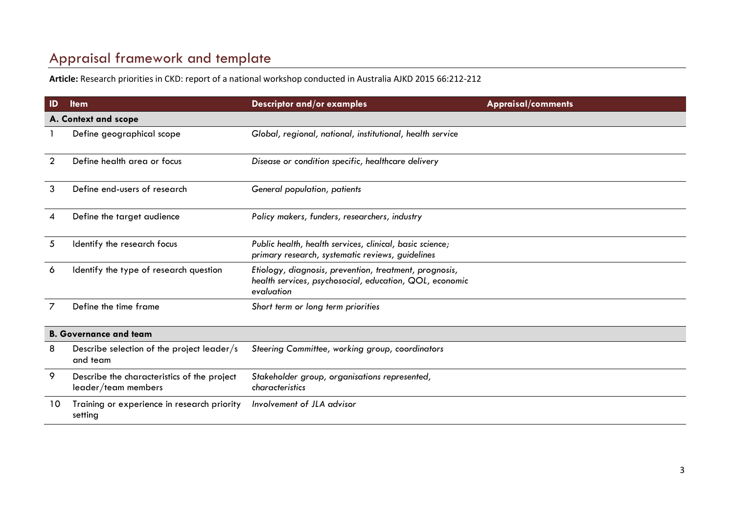## Appraisal framework and template

**Article:** Research priorities in CKD: report of a national workshop conducted in Australia AJKD 2015 66:212-212

| $\mathsf{ID}$                 | <b>Item</b>                                                        | <b>Descriptor and/or examples</b>                                                                                               | <b>Appraisal/comments</b> |  |  |
|-------------------------------|--------------------------------------------------------------------|---------------------------------------------------------------------------------------------------------------------------------|---------------------------|--|--|
|                               | A. Context and scope                                               |                                                                                                                                 |                           |  |  |
|                               | Define geographical scope                                          | Global, regional, national, institutional, health service                                                                       |                           |  |  |
| $\overline{2}$                | Define health area or focus                                        | Disease or condition specific, healthcare delivery                                                                              |                           |  |  |
| 3                             | Define end-users of research                                       | General population, patients                                                                                                    |                           |  |  |
| 4                             | Define the target audience                                         | Policy makers, funders, researchers, industry                                                                                   |                           |  |  |
| 5                             | Identify the research focus                                        | Public health, health services, clinical, basic science;<br>primary research, systematic reviews, guidelines                    |                           |  |  |
| 6                             | Identify the type of research question                             | Etiology, diagnosis, prevention, treatment, prognosis,<br>health services, psychosocial, education, QOL, economic<br>evaluation |                           |  |  |
| 7                             | Define the time frame                                              | Short term or long term priorities                                                                                              |                           |  |  |
| <b>B. Governance and team</b> |                                                                    |                                                                                                                                 |                           |  |  |
| 8                             | Describe selection of the project leader/s<br>and team             | Steering Committee, working group, coordinators                                                                                 |                           |  |  |
| 9                             | Describe the characteristics of the project<br>leader/team members | Stakeholder group, organisations represented,<br>characteristics                                                                |                           |  |  |
| 10                            | Training or experience in research priority<br>setting             | Involvement of JLA advisor                                                                                                      |                           |  |  |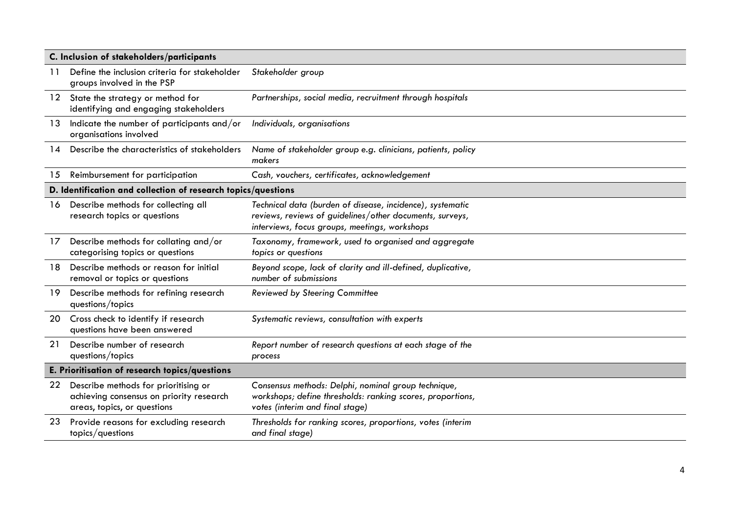| C. Inclusion of stakeholders/participants |                                                                                                                 |                                                                                                                                                                        |  |
|-------------------------------------------|-----------------------------------------------------------------------------------------------------------------|------------------------------------------------------------------------------------------------------------------------------------------------------------------------|--|
| 11                                        | Define the inclusion criteria for stakeholder<br>groups involved in the PSP                                     | Stakeholder group                                                                                                                                                      |  |
|                                           | 12 State the strategy or method for<br>identifying and engaging stakeholders                                    | Partnerships, social media, recruitment through hospitals                                                                                                              |  |
| 13                                        | Indicate the number of participants and/or<br>organisations involved                                            | Individuals, organisations                                                                                                                                             |  |
| 14                                        | Describe the characteristics of stakeholders                                                                    | Name of stakeholder group e.g. clinicians, patients, policy<br>makers                                                                                                  |  |
| 15                                        | Reimbursement for participation                                                                                 | Cash, vouchers, certificates, acknowledgement                                                                                                                          |  |
|                                           | D. Identification and collection of research topics/questions                                                   |                                                                                                                                                                        |  |
| 16                                        | Describe methods for collecting all<br>research topics or questions                                             | Technical data (burden of disease, incidence), systematic<br>reviews, reviews of guidelines/other documents, surveys,<br>interviews, focus groups, meetings, workshops |  |
| $17 \,$                                   | Describe methods for collating and/or<br>categorising topics or questions                                       | Taxonomy, framework, used to organised and aggregate<br>topics or questions                                                                                            |  |
| 18.                                       | Describe methods or reason for initial<br>removal or topics or questions                                        | Beyond scope, lack of clarity and ill-defined, duplicative,<br>number of submissions                                                                                   |  |
| 19                                        | Describe methods for refining research<br>questions/topics                                                      | <b>Reviewed by Steering Committee</b>                                                                                                                                  |  |
| 20                                        | Cross check to identify if research<br>questions have been answered                                             | Systematic reviews, consultation with experts                                                                                                                          |  |
| 21                                        | Describe number of research<br>questions/topics                                                                 | Report number of research questions at each stage of the<br>process                                                                                                    |  |
|                                           | E. Prioritisation of research topics/questions                                                                  |                                                                                                                                                                        |  |
| 22                                        | Describe methods for prioritising or<br>achieving consensus on priority research<br>areas, topics, or questions | Consensus methods: Delphi, nominal group technique,<br>workshops; define thresholds: ranking scores, proportions,<br>votes (interim and final stage)                   |  |
| 23                                        | Provide reasons for excluding research<br>topics/questions                                                      | Thresholds for ranking scores, proportions, votes (interim<br>and final stage)                                                                                         |  |